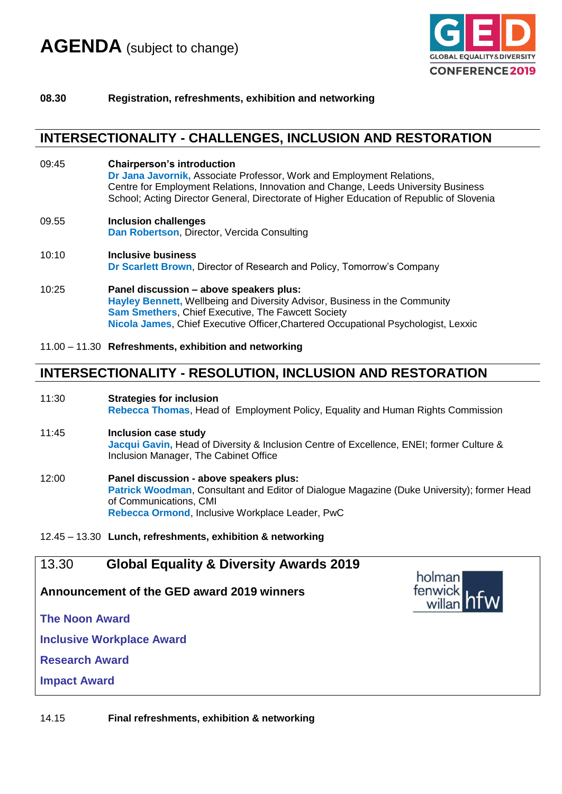

#### **08.30 Registration, refreshments, exhibition and networking**

### **INTERSECTIONALITY - CHALLENGES, INCLUSION AND RESTORATION**

- 09:45 **Chairperson's introduction Dr Jana Javornik,** Associate Professor, Work and Employment Relations, Centre for Employment Relations, Innovation and Change, Leeds University Business School; Acting Director General, Directorate of Higher Education of Republic of Slovenia
- 09.55 **Inclusion challenges Dan Robertson**, Director, Vercida Consulting
- 10:10 **Inclusive business Dr Scarlett Brown**, Director of Research and Policy, Tomorrow's Company
- 10:25 **Panel discussion – above speakers plus: Hayley Bennett,** Wellbeing and Diversity Advisor, Business in the Community **Sam Smethers**, Chief Executive, The Fawcett Society **Nicola James**, Chief Executive Officer,Chartered Occupational Psychologist, Lexxic
- 11.00 11.30 **Refreshments, exhibition and networking**

## **INTERSECTIONALITY - RESOLUTION, INCLUSION AND RESTORATION**

- 11:30 **Strategies for inclusion Rebecca Thomas**, Head of Employment Policy, Equality and Human Rights Commission
- 11:45 **Inclusion case study Jacqui Gavin,** Head of Diversity & Inclusion Centre of Excellence, ENEI; former Culture & Inclusion Manager, The Cabinet Office
- 12:00 **Panel discussion - above speakers plus: Patrick Woodman**, Consultant and Editor of Dialogue Magazine (Duke University); former Head of Communications, CMI **Rebecca Ormond**, Inclusive Workplace Leader, PwC

#### 12.45 – 13.30 **Lunch, refreshments, exhibition & networking**

### 13.30 **Global Equality & Diversity Awards 2019**

**Announcement of the GED award 2019 winners**

**The Noon Award**

**Inclusive Workplace Award**

**Research Award**

**Impact Award**

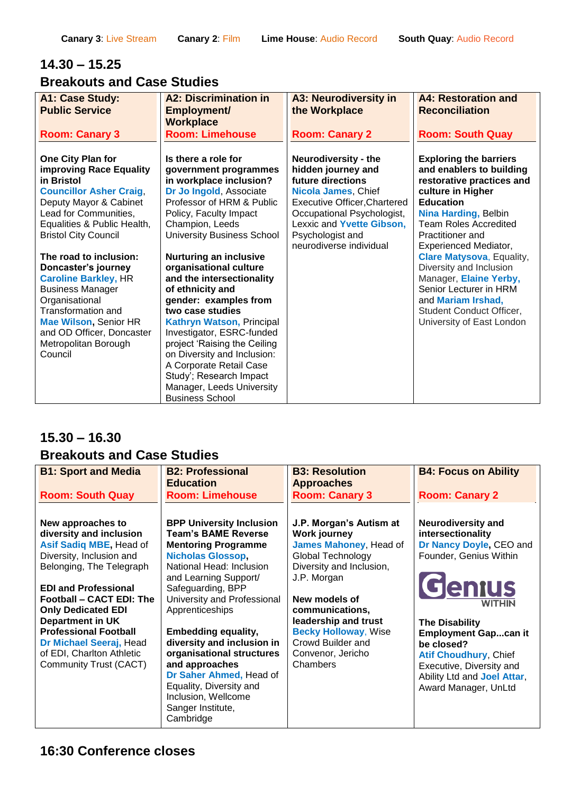# **14.30 – 15.25**

# **Breakouts and Case Studies**

| A1: Case Study:                                                                                                                                                                                                              | <b>A2: Discrimination in</b>                                                                                                                                                                                                                                                                                                                                      | <b>A3: Neurodiversity in</b>                                                                                                                                                                                                                   | <b>A4: Restoration and</b>                                                                                                                                                                                                                         |
|------------------------------------------------------------------------------------------------------------------------------------------------------------------------------------------------------------------------------|-------------------------------------------------------------------------------------------------------------------------------------------------------------------------------------------------------------------------------------------------------------------------------------------------------------------------------------------------------------------|------------------------------------------------------------------------------------------------------------------------------------------------------------------------------------------------------------------------------------------------|----------------------------------------------------------------------------------------------------------------------------------------------------------------------------------------------------------------------------------------------------|
| <b>Public Service</b>                                                                                                                                                                                                        | Employment/                                                                                                                                                                                                                                                                                                                                                       | the Workplace                                                                                                                                                                                                                                  | <b>Reconciliation</b>                                                                                                                                                                                                                              |
|                                                                                                                                                                                                                              | <b>Workplace</b>                                                                                                                                                                                                                                                                                                                                                  |                                                                                                                                                                                                                                                |                                                                                                                                                                                                                                                    |
| <b>Room: Canary 3</b>                                                                                                                                                                                                        | <b>Room: Limehouse</b>                                                                                                                                                                                                                                                                                                                                            | <b>Room: Canary 2</b>                                                                                                                                                                                                                          | <b>Room: South Quay</b>                                                                                                                                                                                                                            |
| One City Plan for<br>improving Race Equality<br>in Bristol<br><b>Councillor Asher Craig,</b><br>Deputy Mayor & Cabinet<br>Lead for Communities,<br>Equalities & Public Health,<br><b>Bristol City Council</b>                | Is there a role for<br>government programmes<br>in workplace inclusion?<br>Dr Jo Ingold, Associate<br>Professor of HRM & Public<br>Policy, Faculty Impact<br>Champion, Leeds<br><b>University Business School</b>                                                                                                                                                 | <b>Neurodiversity - the</b><br>hidden journey and<br>future directions<br>Nicola James, Chief<br><b>Executive Officer, Chartered</b><br>Occupational Psychologist,<br>Lexxic and Yvette Gibson,<br>Psychologist and<br>neurodiverse individual | <b>Exploring the barriers</b><br>and enablers to building<br>restorative practices and<br>culture in Higher<br><b>Education</b><br><b>Nina Harding, Belbin</b><br><b>Team Roles Accredited</b><br>Practitioner and<br><b>Experienced Mediator,</b> |
| The road to inclusion:                                                                                                                                                                                                       | <b>Nurturing an inclusive</b>                                                                                                                                                                                                                                                                                                                                     |                                                                                                                                                                                                                                                | <b>Clare Matysova, Equality,</b>                                                                                                                                                                                                                   |
| Doncaster's journey<br><b>Caroline Barkley, HR</b><br><b>Business Manager</b><br>Organisational<br><b>Transformation and</b><br><b>Mae Wilson, Senior HR</b><br>and OD Officer, Doncaster<br>Metropolitan Borough<br>Council | organisational culture<br>and the intersectionality<br>of ethnicity and<br>gender: examples from<br>two case studies<br><b>Kathryn Watson, Principal</b><br>Investigator, ESRC-funded<br>project 'Raising the Ceiling<br>on Diversity and Inclusion:<br>A Corporate Retail Case<br>Study'; Research Impact<br>Manager, Leeds University<br><b>Business School</b> |                                                                                                                                                                                                                                                | Diversity and Inclusion<br>Manager, Elaine Yerby,<br>Senior Lecturer in HRM<br>and Mariam Irshad,<br>Student Conduct Officer,<br>University of East London                                                                                         |

# **15.30 – 16.30 Breakouts and Case Studies**

| <b>B1: Sport and Media</b>                                                                                                      | <b>B2: Professional</b><br><b>Education</b>                                                                                                                                                                            | <b>B3: Resolution</b><br><b>Approaches</b>                                                                                       | <b>B4: Focus on Ability</b>                                                                                                                                  |
|---------------------------------------------------------------------------------------------------------------------------------|------------------------------------------------------------------------------------------------------------------------------------------------------------------------------------------------------------------------|----------------------------------------------------------------------------------------------------------------------------------|--------------------------------------------------------------------------------------------------------------------------------------------------------------|
| <b>Room: South Quay</b>                                                                                                         | <b>Room: Limehouse</b>                                                                                                                                                                                                 | <b>Room: Canary 3</b>                                                                                                            | <b>Room: Canary 2</b>                                                                                                                                        |
| New approaches to<br>diversity and inclusion<br>Asif Sadiq MBE, Head of<br>Diversity, Inclusion and<br>Belonging, The Telegraph | <b>BPP University Inclusion</b><br><b>Team's BAME Reverse</b><br><b>Mentoring Programme</b><br><b>Nicholas Glossop,</b><br>National Head: Inclusion                                                                    | J.P. Morgan's Autism at<br><b>Work journey</b><br>James Mahoney, Head of<br><b>Global Technology</b><br>Diversity and Inclusion, | <b>Neurodiversity and</b><br>intersectionality<br>Dr Nancy Doyle, CEO and<br>Founder, Genius Within                                                          |
| <b>EDI and Professional</b><br>Football - CACT EDI: The<br><b>Only Dedicated EDI</b><br><b>Department in UK</b>                 | and Learning Support/<br>Safeguarding, BPP<br>University and Professional<br>Apprenticeships                                                                                                                           | J.P. Morgan<br>New models of<br>communications,<br>leadership and trust                                                          | <b>Genius</b><br><b>WITHIN</b><br><b>The Disability</b>                                                                                                      |
| <b>Professional Football</b><br>Dr Michael Seeraj, Head<br>of EDI, Charlton Athletic<br>Community Trust (CACT)                  | <b>Embedding equality,</b><br>diversity and inclusion in<br>organisational structures<br>and approaches<br>Dr Saher Ahmed, Head of<br>Equality, Diversity and<br>Inclusion, Wellcome<br>Sanger Institute,<br>Cambridge | <b>Becky Holloway, Wise</b><br>Crowd Builder and<br>Convenor, Jericho<br>Chambers                                                | <b>Employment Gapcan it</b><br>be closed?<br><b>Atif Choudhury, Chief</b><br>Executive, Diversity and<br>Ability Ltd and Joel Attar,<br>Award Manager, UnLtd |